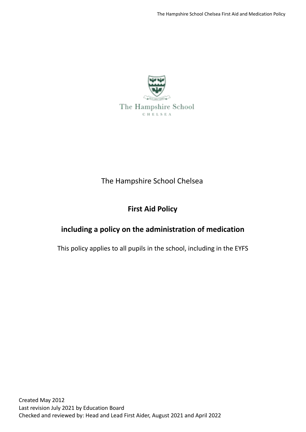

# The Hampshire School Chelsea

# **First Aid Policy**

# **including a policy on the administration of medication**

This policy applies to all pupils in the school, including in the EYFS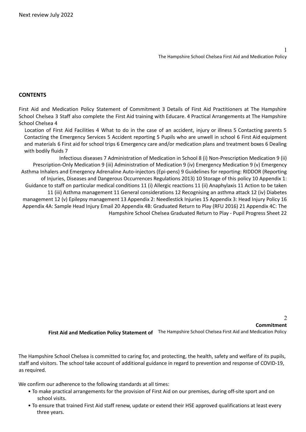1

#### **CONTENTS**

First Aid and Medication Policy Statement of Commitment 3 Details of First Aid Practitioners at The Hampshire School Chelsea 3 Staff also complete the First Aid training with Educare. 4 Practical Arrangements at The Hampshire School Chelsea 4

Location of First Aid Facilities 4 What to do in the case of an accident, injury or illness 5 Contacting parents 5 Contacting the Emergency Services 5 Accident reporting 5 Pupils who are unwell in school 6 First Aid equipment and materials 6 First aid for school trips 6 Emergency care and/or medication plans and treatment boxes 6 Dealing with bodily fluids 7

Infectious diseases 7 Administration of Medication in School 8 (i) Non-Prescription Medication 9 (ii) Prescription-Only Medication 9 (iii) Administration of Medication 9 (iv) Emergency Medication 9 (v) Emergency Asthma Inhalers and Emergency Adrenaline Auto-injectors (Epi-pens) 9 Guidelines for reporting: RIDDOR (Reporting of Injuries, Diseases and Dangerous Occurrences Regulations 2013) 10 Storage of this policy 10 Appendix 1: Guidance to staff on particular medical conditions 11 (i) Allergic reactions 11 (ii) Anaphylaxis 11 Action to be taken 11 (iii) Asthma management 11 General considerations 12 Recognising an asthma attack 12 (iv) Diabetes management 12 (v) Epilepsy management 13 Appendix 2: Needlestick Injuries 15 Appendix 3: Head Injury Policy 16 Appendix 4A: Sample Head Injury Email 20 Appendix 4B: Graduated Return to Play (RFU 2016) 21 Appendix 4C: The Hampshire School Chelsea Graduated Return to Play - Pupil Progress Sheet 22

 $\overline{2}$ **First Aid and Medication Policy Statement of** The Hampshire School Chelsea First Aid and Medication Policy **Commitment**

The Hampshire School Chelsea is committed to caring for, and protecting, the health, safety and welfare of its pupils, staff and visitors. The school take account of additional guidance in regard to prevention and response of COVID-19, as required.

We confirm our adherence to the following standards at all times:

- To make practical arrangements for the provision of First Aid on our premises, during off-site sport and on school visits.
- To ensure that trained First Aid staff renew, update or extend their HSE approved qualifications at least every three years.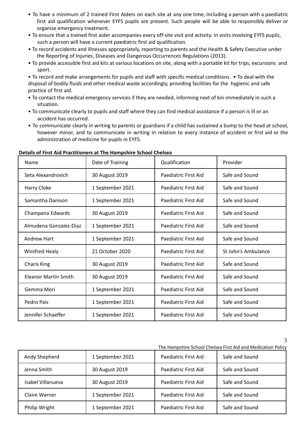- To have a minimum of 2 trained First Aiders on each site at any one time, including a person with a paediatric first aid qualification whenever EYFS pupils are present. Such people will be able to responsibly deliver or organise emergency treatment.
- To ensure that a trained first aider accompanies every off-site visit and activity. In visits involving EYFS pupils, such a person will have a current paediatric first aid qualification.
- To record accidents and illnesses appropriately, reporting to parents and the Health & Safety Executive under the Reporting of Injuries, Diseases and Dangerous Occurrences Regulations (2013).
- To provide accessible first aid kits at various locations on site, along with a portable kit for trips, excursions and sport.

• To record and make arrangements for pupils and staff with specific medical conditions. • To deal with the disposal of bodily fluids and other medical waste accordingly, providing facilities for the hygienic and safe practice of first aid.

- To contact the medical emergency services if they are needed, informing next of kin immediately in such a situation.
- To communicate clearly to pupils and staff where they can find medical assistance if a person is ill or an accident has occurred.
- To communicate clearly in writing to parents or guardians if a child has sustained a bump to the head at school, however minor, and to communicate in writing in relation to every instance of accident or first aid or the administration of medicine for pupils in EYFS.

| Name                        | Date of Training | Qualification                          | Provider            |  |
|-----------------------------|------------------|----------------------------------------|---------------------|--|
| Seta Alexandrovich          | 30 August 2019   | Paediatric First Aid                   | Safe and Sound      |  |
| Harry Cloke                 | 1 September 2021 | Paediatric First Aid                   | Safe and Sound      |  |
| Samantha Danison            | 1 September 2021 | Paediatric First Aid                   | Safe and Sound      |  |
| Champana Edwards            | 30 August 2019   | Paediatric First Aid                   | Safe and Sound      |  |
| Almudena Gonzalez-Diaz      | 1 September 2021 | Paediatric First Aid                   | Safe and Sound      |  |
| <b>Andrew Hart</b>          | 1 September 2021 | Paediatric First Aid                   | Safe and Sound      |  |
| <b>Winifred Healy</b>       | 21 October 2020  | Paediatric First Aid                   | St John's Ambulance |  |
| <b>Charis King</b>          | 30 August 2019   | Paediatric First Aid                   | Safe and Sound      |  |
| <b>Eleanor Martin Smith</b> | 30 August 2019   | Paediatric First Aid                   | Safe and Sound      |  |
| Gemma Mori                  | 1 September 2021 | Paediatric First Aid<br>Safe and Sound |                     |  |
| Pedro Pais                  | 1 September 2021 | Paediatric First Aid                   | Safe and Sound      |  |
| Jennifer Schaeffer          | 1 September 2021 | Paediatric First Aid                   | Safe and Sound      |  |

#### **Details of First Aid Practitioners at The Hampshire School Chelsea**

3 The Hampshire School Chelsea First Aid and Medication Policy

| Andy Shepherd     | 1 September 2021 | Paediatric First Aid | Safe and Sound |  |
|-------------------|------------------|----------------------|----------------|--|
| Jenna Smith       | 30 August 2019   | Paediatric First Aid | Safe and Sound |  |
| Isabel Villanueva | 30 August 2019   | Paediatric First Aid | Safe and Sound |  |
| Claire Warner     | 1 September 2021 | Paediatric First Aid | Safe and Sound |  |
| Philip Wright     | 1 September 2021 | Paediatric First Aid | Safe and Sound |  |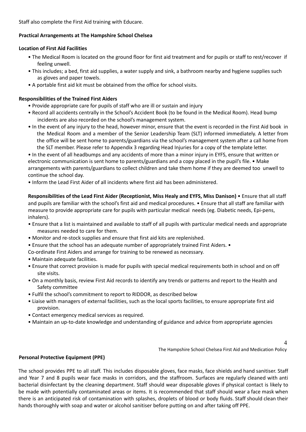Staff also complete the First Aid training with Educare.

## **Practical Arrangements at The Hampshire School Chelsea**

## **Location of First Aid Facilities**

- The Medical Room is located on the ground floor for first aid treatment and for pupils or staff to rest/recover if feeling unwell.
- This includes; a bed, first aid supplies, a water supply and sink, a bathroom nearby and hygiene supplies such as gloves and paper towels.
- A portable first aid kit must be obtained from the office for school visits.

## **Responsibilities of the Trained First Aiders**

- Provide appropriate care for pupils of staff who are ill or sustain and injury
- Record all accidents centrally in the School's Accident Book (to be found in the Medical Room). Head bump incidents are also recorded on the school's management system.
- In the event of any injury to the head, however minor, ensure that the event is recorded in the First Aid book in the Medical Room and a member of the Senior Leadership Team (SLT) informed immediately. A letter from the office will be sent home to parents/guardians via the school's management system after a call home from the SLT member. Please refer to Appendix 3 regarding Head Injuries for a copy of the template letter.

• In the event of all headbumps and any accidents of more than a minor injury in EYFS, ensure that written or electronic communication is sent home to parents/guardians and a copy placed in the pupil's file. • Make arrangements with parents/guardians to collect children and take them home if they are deemed too unwell to continue the school day.

• Inform the Lead First Aider of all incidents where first aid has been administered.

**Responsibilities of the Lead First Aider (Receptionist, Miss Healy and EYFS, Miss Danison)** • Ensure that all staff and pupils are familiar with the school's first aid and medical procedures. • Ensure that all staff are familiar with measure to provide appropriate care for pupils with particular medical needs (eg. Diabetic needs, Epi-pens, inhalers).

- Ensure that a list is maintained and available to staff of all pupils with particular medical needs and appropriate measures needed to care for them.
- Monitor and re-stock supplies and ensure that first aid kits are replenished.
- Ensure that the school has an adequate number of appropriately trained First Aiders. •
- Co-ordinate First Aiders and arrange for training to be renewed as necessary.
- Maintain adequate facilities.
- Ensure that correct provision is made for pupils with special medical requirements both in school and on off site visits.
- On a monthly basis, review First Aid records to identify any trends or patterns and report to the Health and Safety committee
- Fulfil the school's commitment to report to RIDDOR, as described below
- Liaise with managers of external facilities, such as the local sports facilities, to ensure appropriate first aid provision.
- Contact emergency medical services as required.
- Maintain an up-to-date knowledge and understanding of guidance and advice from appropriate agencies

4 The Hampshire School Chelsea First Aid and Medication Policy

## **Personal Protective Equipment (PPE)**

The school provides PPE to all staff. This includes disposable gloves, face masks, face shields and hand sanitiser. Staff and Year 7 and 8 pupils wear face masks in corridors, and the staffroom. Surfaces are regularly cleaned with anti bacterial disinfectant by the cleaning department. Staff should wear disposable gloves if physical contact is likely to be made with potentially contaminated areas or items. It is recommended that staff should wear a face mask when there is an anticipated risk of contamination with splashes, droplets of blood or body fluids. Staff should clean their hands thoroughly with soap and water or alcohol sanitiser before putting on and after taking off PPE.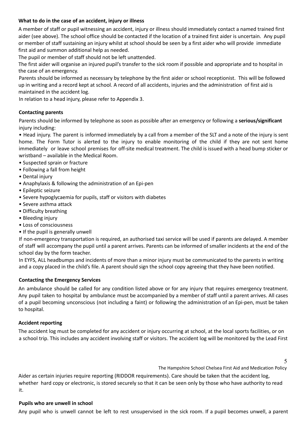## **What to do in the case of an accident, injury or illness**

A member of staff or pupil witnessing an accident, injury or illness should immediately contact a named trained first aider (see above). The school office should be contacted if the location of a trained first aider is uncertain. Any pupil or member of staff sustaining an injury whilst at school should be seen by a first aider who will provide immediate first aid and summon additional help as needed.

The pupil or member of staff should not be left unattended.

The first aider will organise an injured pupil's transfer to the sick room if possible and appropriate and to hospital in the case of an emergency.

Parents should be informed as necessary by telephone by the first aider or school receptionist. This will be followed up in writing and a record kept at school. A record of all accidents, injuries and the administration of first aid is maintained in the accident log.

In relation to a head injury, please refer to Appendix 3.

#### **Contacting parents**

Parents should be informed by telephone as soon as possible after an emergency or following a **serious/significant** injury including:

• Head injury. The parent is informed immediately by a call from a member of the SLT and a note of the injury is sent home. The Form Tutor is alerted to the injury to enable monitoring of the child if they are not sent home immediately or leave school premises for off-site medical treatment. The child is issued with a head bump sticker or wristband – available in the Medical Room.

- Suspected sprain or fracture
- Following a fall from height
- Dental injury
- Anaphylaxis & following the administration of an Epi-pen
- Epileptic seizure
- Severe hypoglycaemia for pupils, staff or visitors with diabetes
- Severe asthma attack
- Difficulty breathing
- Bleeding injury
- Loss of consciousness
- If the pupil is generally unwell

If non-emergency transportation is required, an authorised taxi service will be used if parents are delayed. A member of staff will accompany the pupil until a parent arrives. Parents can be informed of smaller incidents at the end of the school day by the form teacher.

In EYFS, ALL headbumps and incidents of more than a minor injury must be communicated to the parents in writing and a copy placed in the child's file. A parent should sign the school copy agreeing that they have been notified.

#### **Contacting the Emergency Services**

An ambulance should be called for any condition listed above or for any injury that requires emergency treatment. Any pupil taken to hospital by ambulance must be accompanied by a member of staff until a parent arrives. All cases of a pupil becoming unconscious (not including a faint) or following the administration of an Epi-pen, must be taken to hospital.

#### **Accident reporting**

The accident log must be completed for any accident or injury occurring at school, at the local sports facilities, or on a school trip. This includes any accident involving staff or visitors. The accident log will be monitored by the Lead First

5

The Hampshire School Chelsea First Aid and Medication Policy

Aider as certain injuries require reporting (RIDDOR requirements). Care should be taken that the accident log, whether hard copy or electronic, is stored securely so that it can be seen only by those who have authority to read it.

#### **Pupils who are unwell in school**

Any pupil who is unwell cannot be left to rest unsupervised in the sick room. If a pupil becomes unwell, a parent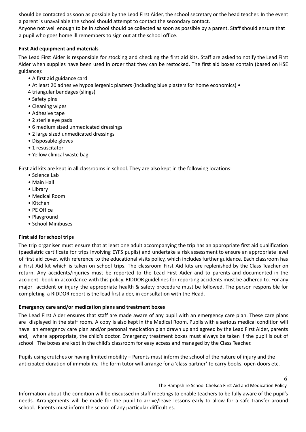should be contacted as soon as possible by the Lead First Aider, the school secretary or the head teacher. In the event a parent is unavailable the school should attempt to contact the secondary contact.

Anyone not well enough to be in school should be collected as soon as possible by a parent. Staff should ensure that a pupil who goes home ill remembers to sign out at the school office.

## **First Aid equipment and materials**

The Lead First Aider is responsible for stocking and checking the first aid kits. Staff are asked to notify the Lead First Aider when supplies have been used in order that they can be restocked. The first aid boxes contain (based on HSE guidance):

- A first aid guidance card
- At least 20 adhesive hypoallergenic plasters (including blue plasters for home economics) •
- 4 triangular bandages (slings)
- Safety pins
- Cleaning wipes
- Adhesive tape
- 2 sterile eye pads
- 6 medium sized unmedicated dressings
- 2 large sized unmedicated dressings
- Disposable gloves
- 1 resuscitator
- Yellow clinical waste bag

First aid kits are kept in all classrooms in school. They are also kept in the following locations:

- Science Lab
- Main Hall
- Library
- Medical Room
- Kitchen
- PE Office
- Playground
- School Minibuses

# **First aid for school trips**

The trip organiser must ensure that at least one adult accompanying the trip has an appropriate first aid qualification (paediatric certificate for trips involving EYFS pupils) and undertake a risk assessment to ensure an appropriate level of first aid cover, with reference to the educational visits policy, which includes further guidance. Each classroom has a First Aid kit which is taken on school trips. The classroom First Aid kits are replenished by the Class Teacher on return. Any accidents/injuries must be reported to the Lead First Aider and to parents and documented in the accident book in accordance with this policy. RIDDOR guidelines for reporting accidents must be adhered to. For any major accident or injury the appropriate health & safety procedure must be followed. The person responsible for completing a RIDDOR report is the lead first aider, in consultation with the Head.

## **Emergency care and/or medication plans and treatment boxes**

The Lead First Aider ensures that staff are made aware of any pupil with an emergency care plan. These care plans are displayed in the staff room. A copy is also kept in the Medical Room. Pupils with a serious medical condition will have an emergency care plan and/or personal medication plan drawn up and agreed by the Lead First Aider, parents and, where appropriate, the child's doctor. Emergency treatment boxes must always be taken if the pupil is out of school. The boxes are kept in the child's classroom for easy access and managed by the Class Teacher.

Pupils using crutches or having limited mobility – Parents must inform the school of the nature of injury and the anticipated duration of immobility. The form tutor will arrange for a 'class partner' to carry books, open doors etc.

The Hampshire School Chelsea First Aid and Medication Policy

Information about the condition will be discussed in staff meetings to enable teachers to be fully aware of the pupil's needs. Arrangements will be made for the pupil to arrive/leave lessons early to allow for a safe transfer around school. Parents must inform the school of any particular difficulties.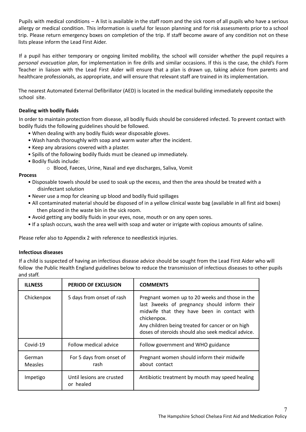Pupils with medical conditions – A list is available in the staff room and the sick room of all pupils who have a serious allergy or medical condition. This information is useful for lesson planning and for risk assessments prior to a school trip. Please return emergency boxes on completion of the trip. If staff become aware of any condition not on these lists please inform the Lead First Aider.

If a pupil has either temporary or ongoing limited mobility, the school will consider whether the pupil requires a *personal evacuation plan*, for implementation in fire drills and similar occasions. If this is the case, the child's Form Teacher in liaison with the Lead First Aider will ensure that a plan is drawn up, taking advice from parents and healthcare professionals, as appropriate, and will ensure that relevant staff are trained in its implementation.

The nearest Automated External Defibrillator (AED) is located in the medical building immediately opposite the school site.

# **Dealing with bodily fluids**

In order to maintain protection from disease, all bodily fluids should be considered infected. To prevent contact with bodily fluids the following guidelines should be followed.

- When dealing with any bodily fluids wear disposable gloves.
- Wash hands thoroughly with soap and warm water after the incident.
- Keep any abrasions covered with a plaster.
- Spills of the following bodily fluids must be cleaned up immediately.
- Bodily fluids include:
	- o Blood, Faeces, Urine, Nasal and eye discharges, Saliva, Vomit

## **Process**

- Disposable towels should be used to soak up the excess, and then the area should be treated with a disinfectant solution
- Never use a mop for cleaning up blood and bodily fluid spillages
- All contaminated material should be disposed of in a yellow clinical waste bag (available in all first aid boxes) then placed in the waste bin in the sick room.
- Avoid getting any bodily fluids in your eyes, nose, mouth or on any open sores.
- If a splash occurs, wash the area well with soap and water or irrigate with copious amounts of saline.

Please refer also to Appendix 2 with reference to needlestick injuries.

## **Infectious diseases**

If a child is suspected of having an infectious disease advice should be sought from the Lead First Aider who will follow the Public Health England guidelines below to reduce the transmission of infectious diseases to other pupils and staff.

| <b>ILLNESS</b>    | <b>PERIOD OF EXCLUSION</b>             | <b>COMMENTS</b>                                                                                                                                                                                                                                                         |
|-------------------|----------------------------------------|-------------------------------------------------------------------------------------------------------------------------------------------------------------------------------------------------------------------------------------------------------------------------|
| Chickenpox        | 5 days from onset of rash              | Pregnant women up to 20 weeks and those in the<br>last 3 weeks of pregnancy should inform their<br>midwife that they have been in contact with<br>chickenpox.<br>Any children being treated for cancer or on high<br>doses of steroids should also seek medical advice. |
| Covid-19          | Follow medical advice                  | Follow government and WHO guidance                                                                                                                                                                                                                                      |
| German<br>Measles | For 5 days from onset of<br>rash       | Pregnant women should inform their midwife<br>about contact                                                                                                                                                                                                             |
| Impetigo          | Until lesions are crusted<br>or healed | Antibiotic treatment by mouth may speed healing                                                                                                                                                                                                                         |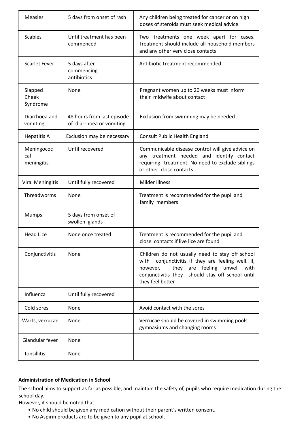| <b>Measles</b>                  | 5 days from onset of rash                              | Any children being treated for cancer or on high<br>doses of steroids must seek medical advice                                                                                                                                    |  |
|---------------------------------|--------------------------------------------------------|-----------------------------------------------------------------------------------------------------------------------------------------------------------------------------------------------------------------------------------|--|
| <b>Scabies</b>                  | Until treatment has been<br>commenced                  | Two treatments one week apart for cases.<br>Treatment should include all household members<br>and any other very close contacts                                                                                                   |  |
| <b>Scarlet Fever</b>            | 5 days after<br>commencing<br>antibiotics              | Antibiotic treatment recommended                                                                                                                                                                                                  |  |
| Slapped<br>Cheek<br>Syndrome    | None                                                   | Pregnant women up to 20 weeks must inform<br>their midwife about contact                                                                                                                                                          |  |
| Diarrhoea and<br>vomiting       | 48 hours from last episode<br>of diarrhoea or vomiting | Exclusion from swimming may be needed                                                                                                                                                                                             |  |
| <b>Hepatitis A</b>              | Exclusion may be necessary                             | Consult Public Health England                                                                                                                                                                                                     |  |
| Meningococ<br>cal<br>meningitis | Until recovered                                        | Communicable disease control will give advice on<br>any treatment needed and identify contact<br>requiring treatment. No need to exclude siblings<br>or other close contacts.                                                     |  |
| <b>Viral Meningitis</b>         | Until fully recovered                                  | Milder illness                                                                                                                                                                                                                    |  |
| Threadworms                     | None                                                   | Treatment is recommended for the pupil and<br>family members                                                                                                                                                                      |  |
| <b>Mumps</b>                    | 5 days from onset of<br>swollen glands                 |                                                                                                                                                                                                                                   |  |
| <b>Head Lice</b>                | None once treated                                      | Treatment is recommended for the pupil and<br>close contacts if live lice are found                                                                                                                                               |  |
| Conjunctivitis                  | None                                                   | Children do not usually need to stay off school<br>conjunctivitis if they are feeling well. If,<br>with<br>they are feeling<br>unwell<br>however,<br>with<br>conjunctivitis they should stay off school until<br>they feel better |  |
| Influenza                       | Until fully recovered                                  |                                                                                                                                                                                                                                   |  |
| Cold sores                      | None                                                   | Avoid contact with the sores                                                                                                                                                                                                      |  |
| Warts, verrucae                 | None                                                   | Verrucae should be covered in swimming pools,<br>gymnasiums and changing rooms                                                                                                                                                    |  |
| Glandular fever                 | None                                                   |                                                                                                                                                                                                                                   |  |
| Tonsillitis                     | None                                                   |                                                                                                                                                                                                                                   |  |

# **Administration of Medication in School**

The school aims to support as far as possible, and maintain the safety of, pupils who require medication during the school day.

However, it should be noted that:

- No child should be given any medication without their parent's written consent.
- No Aspirin products are to be given to any pupil at school.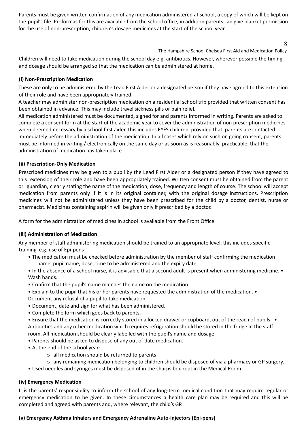Parents must be given written confirmation of any medication administered at school, a copy of which will be kept on the pupil's file. Proformas for this are available from the school office, in addition parents can give blanket permission for the use of non-prescription, children's dosage medicines at the start of the school year

8

The Hampshire School Chelsea First Aid and Medication Policy

Children will need to take medication during the school day e.g. antibiotics. However, wherever possible the timing and dosage should be arranged so that the medication can be administered at home.

## **(i) Non-Prescription Medication**

These are only to be administered by the Lead First Aider or a designated person if they have agreed to this extension of their role and have been appropriately trained.

A teacher may administer non-prescription medication on a residential school trip provided that written consent has been obtained in advance. This may include travel sickness pills or pain relief.

All medication administered must be documented, signed for and parents informed in writing. Parents are asked to complete a consent form at the start of the academic year to cover the administration of non prescription medicines when deemed necessary by a school first aider, this includes EYFS children, provided that parents are contacted immediately before the administration of the medication. In all cases which rely on such on going consent, parents must be informed in writing / electronically on the same day or as soon as is reasonably practicable, that the administration of medication has taken place.

## **(ii) Prescription-Only Medication**

Prescribed medicines may be given to a pupil by the Lead First Aider or a designated person if they have agreed to this extension of their role and have been appropriately trained. Written consent must be obtained from the parent or guardian, clearly stating the name of the medication, dose, frequency and length of course. The school will accept medication from parents only if it is in its original container, with the original dosage instructions. Prescription medicines will not be administered unless they have been prescribed for the child by a doctor, dentist, nurse or pharmacist. Medicines containing aspirin will be given only if prescribed by a doctor.

A form for the administration of medicines in school is available from the Front Office.

## **(iii) Administration of Medication**

Any member of staff administering medication should be trained to an appropriate level, this includes specific training e.g. use of Epi-pens

- The medication must be checked before administration by the member of staff confirming the medication name, pupil name, dose, time to be administered and the expiry date.
- In the absence of a school nurse, it is advisable that a second adult is present when administering medicine. Wash hands.
- Confirm that the pupil's name matches the name on the medication.
- Explain to the pupil that his or her parents have requested the administration of the medication. •

Document any refusal of a pupil to take medication.

- Document, date and sign for what has been administered.
- Complete the form which goes back to parents.
- Ensure that the medication is correctly stored in a locked drawer or cupboard, out of the reach of pupils. Antibiotics and any other medication which requires refrigeration should be stored in the fridge in the staff room. All medication should be clearly labelled with the pupil's name and dosage.
- Parents should be asked to dispose of any out of date medication.
- At the end of the school year:
	- o all medication should be returned to parents
	- o any remaining medication belonging to children should be disposed of via a pharmacy or GP surgery.
- Used needles and syringes must be disposed of in the sharps box kept in the Medical Room.

## **(iv) Emergency Medication**

It is the parents' responsibility to inform the school of any long-term medical condition that may require regular or emergency medication to be given. In these circumstances a health care plan may be required and this will be completed and agreed with parents and, where relevant, the child's GP.

## **(v) Emergency Asthma Inhalers and Emergency Adrenaline Auto-injectors (Epi-pens)**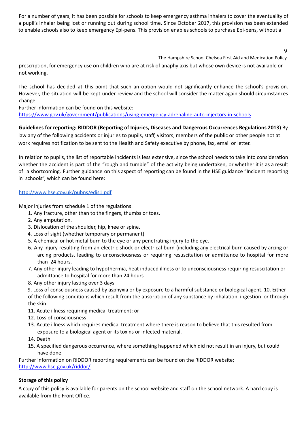For a number of years, it has been possible for schools to keep emergency asthma inhalers to cover the eventuality of a pupil's inhaler being lost or running out during school time. Since October 2017, this provision has been extended to enable schools also to keep emergency Epi-pens. This provision enables schools to purchase Epi-pens, without a

 $\mathbf Q$ 

The Hampshire School Chelsea First Aid and Medication Policy

prescription, for emergency use on children who are at risk of anaphylaxis but whose own device is not available or not working.

The school has decided at this point that such an option would not significantly enhance the school's provision. However, the situation will be kept under review and the school will consider the matter again should circumstances change.

Further information can be found on this website: https://www.gov.uk/government/publications/using-emergency-adrenaline-auto-injectors-in-schools

**Guidelines for reporting: RIDDOR (Reporting of Injuries, Diseases and Dangerous Occurrences Regulations 2013)** By law any of the following accidents or injuries to pupils, staff, visitors, members of the public or other people not at work requires notification to be sent to the Health and Safety executive by phone, fax, email or letter.

In relation to pupils, the list of reportable incidents is less extensive, since the school needs to take into consideration whether the accident is part of the "rough and tumble" of the activity being undertaken, or whether it is as a result of a shortcoming. Further guidance on this aspect of reporting can be found in the HSE guidance "Incident reporting in schools", which can be found here:

#### http://www.hse.gov.uk/pubns/edis1.pdf

Major injuries from schedule 1 of the regulations:

- 1. Any fracture, other than to the fingers, thumbs or toes.
- 2. Any amputation.
- 3. Dislocation of the shoulder, hip, knee or spine.
- 4. Loss of sight (whether temporary or permanent)
- 5. A chemical or hot metal burn to the eye or any penetrating injury to the eye.
- 6. Any injury resulting from an electric shock or electrical burn (including any electrical burn caused by arcing or arcing products, leading to unconsciousness or requiring resuscitation or admittance to hospital for more than 24 hours.
- 7. Any other injury leading to hypothermia, heat induced illness or to unconsciousness requiring resuscitation or admittance to hospital for more than 24 hours
- 8. Any other injury lasting over 3 days

9. Loss of consciousness caused by asphyxia or by exposure to a harmful substance or biological agent. 10. Either of the following conditions which result from the absorption of any substance by inhalation, ingestion or through the skin:

- 11. Acute illness requiring medical treatment; or
- 12. Loss of consciousness
- 13. Acute illness which requires medical treatment where there is reason to believe that this resulted from exposure to a biological agent or its toxins or infected material.
- 14. Death
- 15. A specified dangerous occurrence, where something happened which did not result in an injury, but could have done.

Further information on RIDDOR reporting requirements can be found on the RIDDOR website; http://www.hse.gov.uk/riddor/

## **Storage of this policy**

A copy of this policy is available for parents on the school website and staff on the school network. A hard copy is available from the Front Office.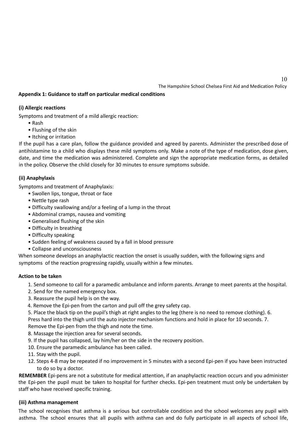10

## **Appendix 1: Guidance to staff on particular medical conditions**

#### **(i) Allergic reactions**

Symptoms and treatment of a mild allergic reaction:

- Rash
- Flushing of the skin
- Itching or irritation

If the pupil has a care plan, follow the guidance provided and agreed by parents. Administer the prescribed dose of antihistamine to a child who displays these mild symptoms only. Make a note of the type of medication, dose given, date, and time the medication was administered. Complete and sign the appropriate medication forms, as detailed in the policy. Observe the child closely for 30 minutes to ensure symptoms subside.

## **(ii) Anaphylaxis**

Symptoms and treatment of Anaphylaxis:

- Swollen lips, tongue, throat or face
- Nettle type rash
- Difficulty swallowing and/or a feeling of a lump in the throat
- Abdominal cramps, nausea and vomiting
- Generalised flushing of the skin
- Difficulty in breathing
- Difficulty speaking
- Sudden feeling of weakness caused by a fall in blood pressure
- Collapse and unconsciousness

When someone develops an anaphylactic reaction the onset is usually sudden, with the following signs and symptoms of the reaction progressing rapidly, usually within a few minutes.

#### **Action to be taken**

- 1. Send someone to call for a paramedic ambulance and inform parents. Arrange to meet parents at the hospital.
- 2. Send for the named emergency box.
- 3. Reassure the pupil help is on the way.
- 4. Remove the Epi-pen from the carton and pull off the grey safety cap.

5. Place the black tip on the pupil's thigh at right angles to the leg (there is no need to remove clothing). 6.

Press hard into the thigh until the auto injector mechanism functions and hold in place for 10 seconds. 7.

Remove the Epi-pen from the thigh and note the time.

- 8. Massage the injection area for several seconds.
- 9. If the pupil has collapsed, lay him/her on the side in the recovery position.
- 10. Ensure the paramedic ambulance has been called.
- 11. Stay with the pupil.
- 12. Steps 4-8 may be repeated if no improvement in 5 minutes with a second Epi-pen if you have been instructed to do so by a doctor.

**REMEMBER** Epi-pens are not a substitute for medical attention, if an anaphylactic reaction occurs and you administer the Epi-pen the pupil must be taken to hospital for further checks. Epi-pen treatment must only be undertaken by staff who have received specific training.

#### **(iii) Asthma management**

The school recognises that asthma is a serious but controllable condition and the school welcomes any pupil with asthma. The school ensures that all pupils with asthma can and do fully participate in all aspects of school life,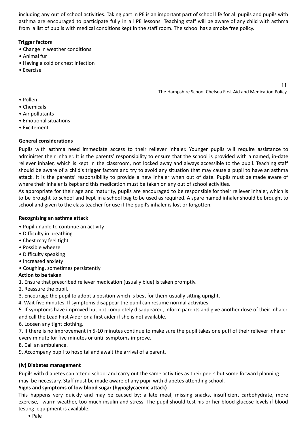including any out of school activities. Taking part in PE is an important part of school life for all pupils and pupils with asthma are encouraged to participate fully in all PE lessons. Teaching staff will be aware of any child with asthma from a list of pupils with medical conditions kept in the staff room. The school has a smoke free policy.

## **Trigger factors**

- Change in weather conditions
- Animal fur
- Having a cold or chest infection
- Exercise

11 The Hampshire School Chelsea First Aid and Medication Policy

- Pollen
- Chemicals
- Air pollutants
- Emotional situations
- Excitement

# **General considerations**

Pupils with asthma need immediate access to their reliever inhaler. Younger pupils will require assistance to administer their inhaler. It is the parents' responsibility to ensure that the school is provided with a named, in-date reliever inhaler, which is kept in the classroom, not locked away and always accessible to the pupil. Teaching staff should be aware of a child's trigger factors and try to avoid any situation that may cause a pupil to have an asthma attack. It is the parents' responsibility to provide a new inhaler when out of date. Pupils must be made aware of where their inhaler is kept and this medication must be taken on any out of school activities.

As appropriate for their age and maturity, pupils are encouraged to be responsible for their reliever inhaler, which is to be brought to school and kept in a school bag to be used as required. A spare named inhaler should be brought to school and given to the class teacher for use if the pupil's inhaler is lost or forgotten.

## **Recognising an asthma attack**

- Pupil unable to continue an activity
- Difficulty in breathing
- Chest may feel tight
- Possible wheeze
- Difficulty speaking
- Increased anxiety
- Coughing, sometimes persistently

# **Action to be taken**

1. Ensure that prescribed reliever medication (usually blue) is taken promptly.

- 2. Reassure the pupil.
- 3. Encourage the pupil to adopt a position which is best for them-usually sitting upright.
- 4. Wait five minutes. If symptoms disappear the pupil can resume normal activities.

5. If symptoms have improved but not completely disappeared, inform parents and give another dose of their inhaler and call the Lead First Aider or a first aider if she is not available.

6. Loosen any tight clothing.

7. If there is no improvement in 5-10 minutes continue to make sure the pupil takes one puff of their reliever inhaler every minute for five minutes or until symptoms improve.

8. Call an ambulance.

9. Accompany pupil to hospital and await the arrival of a parent.

# **(iv) Diabetes management**

Pupils with diabetes can attend school and carry out the same activities as their peers but some forward planning may be necessary. Staff must be made aware of any pupil with diabetes attending school.

# **Signs and symptoms of low blood sugar (hypoglycaemic attack)**

This happens very quickly and may be caused by: a late meal, missing snacks, insufficient carbohydrate, more exercise, warm weather, too much insulin and stress. The pupil should test his or her blood glucose levels if blood testing equipment is available.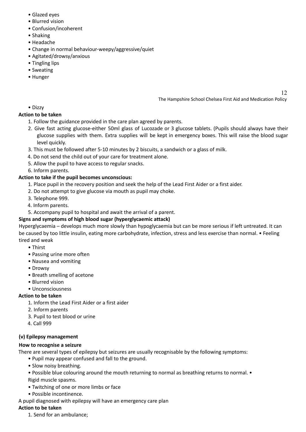- Glazed eyes
- Blurred vision
- Confusion/incoherent
- Shaking
- Headache
- Change in normal behaviour-weepy/aggressive/quiet
- Agitated/drowsy/anxious
- Tingling lips
- Sweating
- Hunger

12

## • Dizzy

## **Action to be taken**

- 1. Follow the guidance provided in the care plan agreed by parents.
- 2. Give fast acting glucose-either 50ml glass of Lucozade or 3 glucose tablets. (Pupils should always have their glucose supplies with them. Extra supplies will be kept in emergency boxes. This will raise the blood sugar level quickly.
- 3. This must be followed after 5-10 minutes by 2 biscuits, a sandwich or a glass of milk.
- 4. Do not send the child out of your care for treatment alone.
- 5. Allow the pupil to have access to regular snacks.
- 6. Inform parents.

## **Action to take if the pupil becomes unconscious:**

- 1. Place pupil in the recovery position and seek the help of the Lead First Aider or a first aider.
- 2. Do not attempt to give glucose via mouth as pupil may choke.
- 3. Telephone 999.
- 4. Inform parents.
- 5. Accompany pupil to hospital and await the arrival of a parent.

# **Signs and symptoms of high blood sugar (hyperglycaemic attack)**

Hyperglycaemia – develops much more slowly than hypoglycaemia but can be more serious if left untreated. It can be caused by too little insulin, eating more carbohydrate, infection, stress and less exercise than normal. • Feeling tired and weak

- Thirst
- Passing urine more often
- Nausea and vomiting
- Drowsy
- Breath smelling of acetone
- Blurred vision
- Unconsciousness

# **Action to be taken**

- 1. Inform the Lead First Aider or a first aider
- 2. Inform parents
- 3. Pupil to test blood or urine
- 4. Call 999

## **(v) Epilepsy management**

## **How to recognise a seizure**

There are several types of epilepsy but seizures are usually recognisable by the following symptoms:

- Pupil may appear confused and fall to the ground.
- Slow noisy breathing.
- Possible blue colouring around the mouth returning to normal as breathing returns to normal. Rigid muscle spasms.
- Twitching of one or more limbs or face
- Possible incontinence.
- A pupil diagnosed with epilepsy will have an emergency care plan

## **Action to be taken**

1. Send for an ambulance;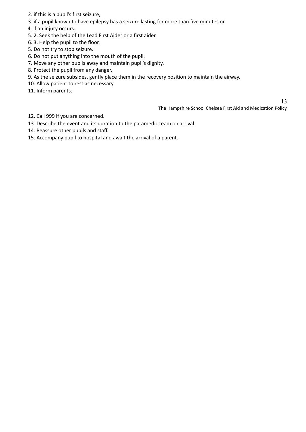- 2. if this is a pupil's first seizure,
- 3. if a pupil known to have epilepsy has a seizure lasting for more than five minutes or
- 4. if an injury occurs.
- 5. 2. Seek the help of the Lead First Aider or a first aider.
- 6. 3. Help the pupil to the floor.
- 5. Do not try to stop seizure.
- 6. Do not put anything into the mouth of the pupil.
- 7. Move any other pupils away and maintain pupil's dignity.
- 8. Protect the pupil from any danger.
- 9. As the seizure subsides, gently place them in the recovery position to maintain the airway.
- 10. Allow patient to rest as necessary.
- 11. Inform parents.

- 12. Call 999 if you are concerned.
- 13. Describe the event and its duration to the paramedic team on arrival.
- 14. Reassure other pupils and staff.
- 15. Accompany pupil to hospital and await the arrival of a parent.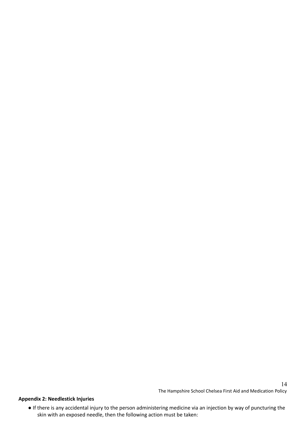# **Appendix 2: Needlestick Injuries**

● If there is any accidental injury to the person administering medicine via an injection by way of puncturing the skin with an exposed needle, then the following action must be taken: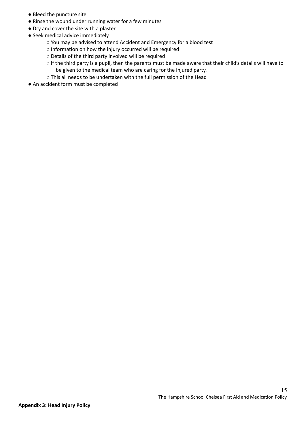- Bleed the puncture site
- Rinse the wound under running water for a few minutes
- Dry and cover the site with a plaster
- Seek medical advice immediately
	- You may be advised to attend Accident and Emergency for a blood test
	- Information on how the injury occurred will be required
	- Details of the third party involved will be required
	- If the third party is a pupil, then the parents must be made aware that their child's details will have to be given to the medical team who are caring for the injured party.
	- This all needs to be undertaken with the full permission of the Head
- An accident form must be completed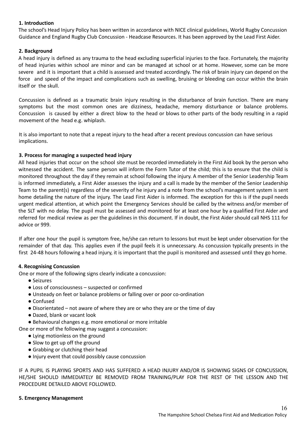## **1. Introduction**

The school's Head Injury Policy has been written in accordance with NICE clinical guidelines, World Rugby Concussion Guidance and England Rugby Club Concussion - Headcase Resources. It has been approved by the Lead First Aider.

## **2. Background**

A head injury is defined as any trauma to the head excluding superficial injuries to the face. Fortunately, the majority of head injuries within school are minor and can be managed at school or at home. However, some can be more severe and it is important that a child is assessed and treated accordingly. The risk of brain injury can depend on the force and speed of the impact and complications such as swelling, bruising or bleeding can occur within the brain itself or the skull.

Concussion is defined as a traumatic brain injury resulting in the disturbance of brain function. There are many symptoms but the most common ones are dizziness, headache, memory disturbance or balance problems. Concussion is caused by either a direct blow to the head or blows to other parts of the body resulting in a rapid movement of the head e.g. whiplash.

It is also important to note that a repeat injury to the head after a recent previous concussion can have serious implications.

## **3. Process for managing a suspected head injury**

All head injuries that occur on the school site must be recorded immediately in the First Aid book by the person who witnessed the accident. The same person will inform the Form Tutor of the child; this is to ensure that the child is monitored throughout the day if they remain at school following the injury. A member of the Senior Leadership Team is informed immediately, a First Aider assesses the injury and a call is made by the member of the Senior Leadership Team to the parent(s) regardless of the severity of he injury and a note from the school's management system is sent home detailing the nature of the injury. The Lead First Aider is informed. The exception for this is if the pupil needs urgent medical attention, at which point the Emergency Services should be called by the witness and/or member of the SLT with no delay. The pupil must be assessed and monitored for at least one hour by a qualified First Aider and referred for medical review as per the guidelines in this document. If in doubt, the First Aider should call NHS 111 for advice or 999.

If after one hour the pupil is symptom free, he/she can return to lessons but must be kept under observation for the remainder of that day. This applies even if the pupil feels it is unnecessary. As concussion typically presents in the first 24-48 hours following a head injury, it is important that the pupil is monitored and assessed until they go home.

## **4. Recognising Concussion**

One or more of the following signs clearly indicate a concussion:

- Seizures
- Loss of consciousness suspected or confirmed
- Unsteady on feet or balance problems or falling over or poor co-ordination
- Confused
- Disorientated not aware of where they are or who they are or the time of day
- Dazed, blank or vacant look
- Behavioural changes e.g. more emotional or more irritable

One or more of the following may suggest a concussion:

- Lying motionless on the ground
- Slow to get up off the ground
- Grabbing or clutching their head
- Injury event that could possibly cause concussion

IF A PUPIL IS PLAYING SPORTS AND HAS SUFFERED A HEAD INJURY AND/OR IS SHOWING SIGNS OF CONCUSSION, HE/SHE SHOULD IMMEDIATELY BE REMOVED FROM TRAINING/PLAY FOR THE REST OF THE LESSON AND THE PROCEDURE DETAILED ABOVE FOLLOWED.

## **5. Emergency Management**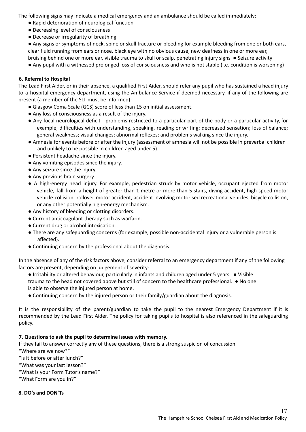The following signs may indicate a medical emergency and an ambulance should be called immediately:

- Rapid deterioration of neurological function
- Decreasing level of consciousness
- Decrease or irregularity of breathing

● Any signs or symptoms of neck, spine or skull fracture or bleeding for example bleeding from one or both ears, clear fluid running from ears or nose, black eye with no obvious cause, new deafness in one or more ear, bruising behind one or more ear, visible trauma to skull or scalp, penetrating injury signs ● Seizure activity

● Any pupil with a witnessed prolonged loss of consciousness and who is not stable (i.e. condition is worsening)

## **6. Referral to Hospital**

The Lead First Aider, or in their absence, a qualified First Aider, should refer any pupil who has sustained a head injury to a hospital emergency department, using the Ambulance Service if deemed necessary, if any of the following are present (a member of the SLT must be informed):

- Glasgow Coma Scale (GCS) score of less than 15 on initial assessment.
- Any loss of consciousness as a result of the injury.
- Any focal neurological deficit problems restricted to a particular part of the body or a particular activity, for example, difficulties with understanding, speaking, reading or writing; decreased sensation; loss of balance; general weakness; visual changes; abnormal reflexes; and problems walking since the injury.
- Amnesia for events before or after the injury (assessment of amnesia will not be possible in preverbal children and unlikely to be possible in children aged under 5).
- Persistent headache since the injury.
- Any vomiting episodes since the injury.
- Any seizure since the injury.
- Any previous brain surgery.
- A high-energy head injury. For example, pedestrian struck by motor vehicle, occupant ejected from motor vehicle, fall from a height of greater than 1 metre or more than 5 stairs, diving accident, high-speed motor vehicle collision, rollover motor accident, accident involving motorised recreational vehicles, bicycle collision, or any other potentially high-energy mechanism.
- Any history of bleeding or clotting disorders.
- Current anticoagulant therapy such as warfarin.
- Current drug or alcohol intoxication.
- There are any safeguarding concerns (for example, possible non-accidental injury or a vulnerable person is affected).
- Continuing concern by the professional about the diagnosis.

In the absence of any of the risk factors above, consider referral to an emergency department if any of the following factors are present, depending on judgement of severity:

- Irritability or altered behaviour, particularly in infants and children aged under 5 years. Visible trauma to the head not covered above but still of concern to the healthcare professional. ● No one is able to observe the injured person at home.
- Continuing concern by the injured person or their family/guardian about the diagnosis.

It is the responsibility of the parent/guardian to take the pupil to the nearest Emergency Department if it is recommended by the Lead First Aider. The policy for taking pupils to hospital is also referenced in the safeguarding policy.

## **7. Questions to ask the pupil to determine issues with memory.**

If they fail to answer correctly any of these questions, there is a strong suspicion of concussion "Where are we now?"

"Is it before or after lunch?"

"What was your last lesson?"

"What is your Form Tutor's name?"

"What Form are you in?"

## **8. DO's and DON'Ts**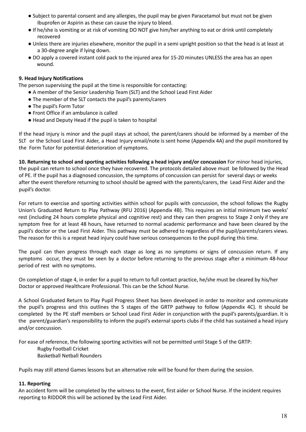- Subject to parental consent and any allergies, the pupil may be given Paracetamol but must not be given Ibuprofen or Aspirin as these can cause the injury to bleed.
- If he/she is vomiting or at risk of vomiting DO NOT give him/her anything to eat or drink until completely recovered
- Unless there are injuries elsewhere, monitor the pupil in a semi upright position so that the head is at least at a 30-degree angle if lying down.
- DO apply a covered instant cold pack to the injured area for 15-20 minutes UNLESS the area has an open wound.

## **9. Head Injury Notifications**

The person supervising the pupil at the time is responsible for contacting:

- A member of the Senior Leadership Team (SLT) and the School Lead First Aider
- The member of the SLT contacts the pupil's parents/carers
- The pupil's Form Tutor
- Front Office if an ambulance is called
- Head and Deputy Head if the pupil is taken to hospital

If the head injury is minor and the pupil stays at school, the parent/carers should be informed by a member of the SLT or the School Lead First Aider, a Head Injury email/note is sent home (Appendix 4A) and the pupil monitored by the Form Tutor for potential deterioration of symptoms.

**10. Returning to school and sporting activities following a head injury and/or concussion** For minor head injuries, the pupil can return to school once they have recovered. The protocols detailed above must be followed by the Head of PE. If the pupil has a diagnosed concussion, the symptoms of concussion can persist for several days or weeks after the event therefore returning to school should be agreed with the parents/carers, the Lead First Aider and the pupil's doctor.

For return to exercise and sporting activities within school for pupils with concussion, the school follows the Rugby Union's Graduated Return to Play Pathway (RFU 2016) (Appendix 4B). This requires an initial minimum two weeks' rest (including 24 hours complete physical and cognitive rest) and they can then progress to Stage 2 only if they are symptom free for at least 48 hours, have returned to normal academic performance and have been cleared by the pupil's doctor or the Lead First Aider. This pathway must be adhered to regardless of the pupil/parents/carers views. The reason for this is a repeat head injury could have serious consequences to the pupil during this time.

The pupil can then progress through each stage as long as no symptoms or signs of concussion return. If any symptoms occur, they must be seen by a doctor before returning to the previous stage after a minimum 48-hour period of rest with no symptoms.

On completion of stage 4, in order for a pupil to return to full contact practice, he/she must be cleared by his/her Doctor or approved Healthcare Professional. This can be the School Nurse.

A School Graduated Return to Play Pupil Progress Sheet has been developed in order to monitor and communicate the pupil's progress and this outlines the 5 stages of the GRTP pathway to follow (Appendix 4C). It should be completed by the PE staff members or School Lead First Aider in conjunction with the pupil's parents/guardian. It is the parent/guardian's responsibility to inform the pupil's external sports clubs if the child has sustained a head injury and/or concussion.

For ease of reference, the following sporting activities will not be permitted until Stage 5 of the GRTP:

- Rugby Football Cricket
- Basketball Netball Rounders

Pupils may still attend Games lessons but an alternative role will be found for them during the session.

## **11. Reporting**

An accident form will be completed by the witness to the event, first aider or School Nurse. If the incident requires reporting to RIDDOR this will be actioned by the Lead First Aider.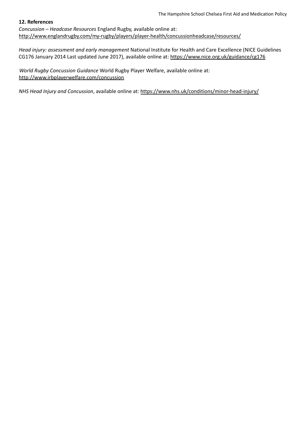#### **12. References**

*Concussion – Headcase Resources* England Rugby, available online at: http://www.englandrugby.com/my-rugby/players/player-health/concussionheadcase/resources/

*Head injury: assessment and early management* National Institute for Health and Care Excellence (NICE Guidelines CG176 January 2014 Last updated June 2017), available online at: https://www.nice.org.uk/guidance/cg176

*World Rugby Concussion Guidance* World Rugby Player Welfare, available online at: http://www.irbplayerwelfare.com/concussion

*NHS Head Injury and Concussion*, available online at: https://www.nhs.uk/conditions/minor-head-injury/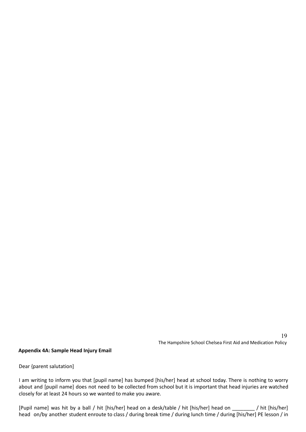#### **Appendix 4A: Sample Head Injury Email**

Dear {parent salutation]

I am writing to inform you that [pupil name] has bumped [his/her] head at school today. There is nothing to worry about and [pupil name] does not need to be collected from school but it is important that head injuries are watched closely for at least 24 hours so we wanted to make you aware.

[Pupil name] was hit by a ball / hit [his/her] head on a desk/table / hit [his/her] head on \_\_\_\_\_\_\_\_ / hit [his/her] head on/by another student enroute to class / during break time / during lunch time / during [his/her] PE lesson / in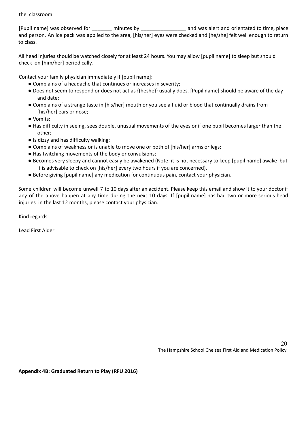the classroom.

[Pupil name] was observed for early minutes by the same and was alert and orientated to time, place and person. An ice pack was applied to the area, [his/her] eyes were checked and [he/she] felt well enough to return to class.

All head injuries should be watched closely for at least 24 hours. You may allow [pupil name] to sleep but should check on [him/her] periodically.

Contact your family physician immediately if [pupil name]:

- Complains of a headache that continues or increases in severity;
- Does not seem to respond or does not act as {{heshe}} usually does. [Pupil name] should be aware of the day and date;
- Complains of a strange taste in [his/her] mouth or you see a fluid or blood that continually drains from [his/her] ears or nose;
- Vomits;
- Has difficulty in seeing, sees double, unusual movements of the eyes or if one pupil becomes larger than the other;
- Is dizzy and has difficulty walking;
- Complains of weakness or is unable to move one or both of [his/her] arms or legs;
- Has twitching movements of the body or convulsions;
- Becomes very sleepy and cannot easily be awakened (Note: it is not necessary to keep [pupil name] awake but it is advisable to check on [his/her] every two hours if you are concerned).
- Before giving [pupil name] any medication for continuous pain, contact your physician.

Some children will become unwell 7 to 10 days after an accident. Please keep this email and show it to your doctor if any of the above happen at any time during the next 10 days. If [pupil name] has had two or more serious head injuries in the last 12 months, please contact your physician.

Kind regards

Lead First Aider

20 The Hampshire School Chelsea First Aid and Medication Policy

**Appendix 4B: Graduated Return to Play (RFU 2016)**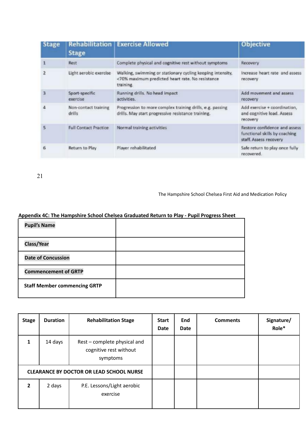| <b>Stage</b> | <b>Rehabilitation</b><br><b>Stage</b> | <b>Exercise Allowed</b>                                                                                                     | <b>Objective</b>                                                                         |
|--------------|---------------------------------------|-----------------------------------------------------------------------------------------------------------------------------|------------------------------------------------------------------------------------------|
|              | Rest                                  | Complete physical and cognitive rest without symptoms                                                                       | Recovery                                                                                 |
|              | Light aerobic exercise                | Walking, swimming or stationary cycling keeping intensity,<br><70% maximum predicted heart rate. No resistance<br>training. | Increase heart rate and assess<br>recovery                                               |
|              | Sport-specific<br>exercise            | Running drills. No head impact<br>activities.                                                                               | Add movement and assess<br>recovery                                                      |
|              | Non-contact training<br>drills        | Progression to more complex training drills, e.g. passing<br>drills. May start progressive resistance training.             | Add exercise + coordination,<br>and cognitive load. Assess<br>recovery                   |
| ς            | <b>Full Contact Practice</b>          | Normal training activities                                                                                                  | Restore confidence and assess<br>functional skills by coaching<br>staff. Assess recovery |
|              | Return to Play                        | Player rehabilitated                                                                                                        | Safe return to play once fully<br>recovered.                                             |

21

The Hampshire School Chelsea First Aid and Medication Policy

## **Appendix 4C: The Hampshire School Chelsea Graduated Return to Play - Pupil Progress Sheet**

| <b>Pupil's Name</b>                 |  |
|-------------------------------------|--|
| <b>Class/Year</b>                   |  |
| <b>Date of Concussion</b>           |  |
| <b>Commencement of GRTP</b>         |  |
| <b>Staff Member commencing GRTP</b> |  |

| <b>Stage</b>                                    | <b>Duration</b> | <b>Rehabilitation Stage</b>                                        | <b>Start</b><br><b>Date</b> | End<br>Date | <b>Comments</b> | Signature/<br>Role* |
|-------------------------------------------------|-----------------|--------------------------------------------------------------------|-----------------------------|-------------|-----------------|---------------------|
| 1                                               | 14 days         | Rest - complete physical and<br>cognitive rest without<br>symptoms |                             |             |                 |                     |
| <b>CLEARANCE BY DOCTOR OR LEAD SCHOOL NURSE</b> |                 |                                                                    |                             |             |                 |                     |
| $\overline{2}$                                  | 2 days          | P.E. Lessons/Light aerobic<br>exercise                             |                             |             |                 |                     |